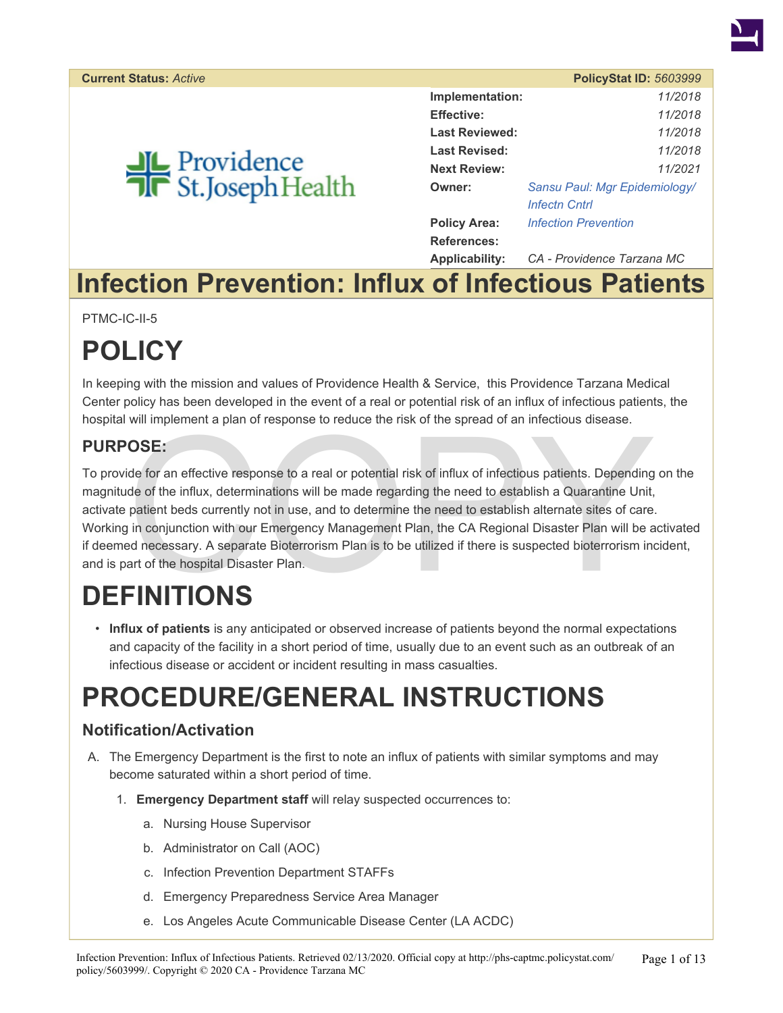

# **JL** Providence<br>**T**R St.Joseph Health

|                       | <b>PolicyStat ID: 5603999</b> |
|-----------------------|-------------------------------|
| Implementation:       | 11/2018                       |
| <b>Effective:</b>     | 11/2018                       |
| <b>Last Reviewed:</b> | 11/2018                       |
| Last Revised:         | 11/2018                       |
| <b>Next Review:</b>   | 11/2021                       |
| Owner:                | Sansu Paul: Mgr Epidemiology/ |
|                       | <b>Infectn Cntrl</b>          |
| <b>Policy Area:</b>   | <b>Infection Prevention</b>   |
| References:           |                               |
| Applicability:        | CA - Providence Tarzana MC    |

# **Infection Prevention: Influx of Infectious Patients**

PTMC-IC-II-5

# **POLICY**

In keeping with the mission and values of Providence Health & Service, this Providence Tarzana Medical Center policy has been developed in the event of a real or potential risk of an influx of infectious patients, the hospital will implement a plan of response to reduce the risk of the spread of an infectious disease.

### **PURPOSE:**

Will implement a plan of response to reduce the risk of the spread of an infectious disease.<br> **OSE:**<br>
ide for an effective response to a real or potential risk of influx of infectious patients. Depending<br>
de of the influx, To provide for an effective response to a real or potential risk of influx of infectious patients. Depending on the magnitude of the influx, determinations will be made regarding the need to establish a Quarantine Unit, activate patient beds currently not in use, and to determine the need to establish alternate sites of care. Working in conjunction with our Emergency Management Plan, the CA Regional Disaster Plan will be activated if deemed necessary. A separate Bioterrorism Plan is to be utilized if there is suspected bioterrorism incident, and is part of the hospital Disaster Plan.

# **DEFINITIONS**

• **Influx of patients** is any anticipated or observed increase of patients beyond the normal expectations and capacity of the facility in a short period of time, usually due to an event such as an outbreak of an infectious disease or accident or incident resulting in mass casualties.

# **PROCEDURE/GENERAL INSTRUCTIONS**

### **Notification/Activation**

- A. The Emergency Department is the first to note an influx of patients with similar symptoms and may become saturated within a short period of time.
	- 1. **Emergency Department staff** will relay suspected occurrences to:
		- a. Nursing House Supervisor
		- b. Administrator on Call (AOC)
		- c. Infection Prevention Department STAFFs
		- d. Emergency Preparedness Service Area Manager
		- e. Los Angeles Acute Communicable Disease Center (LA ACDC)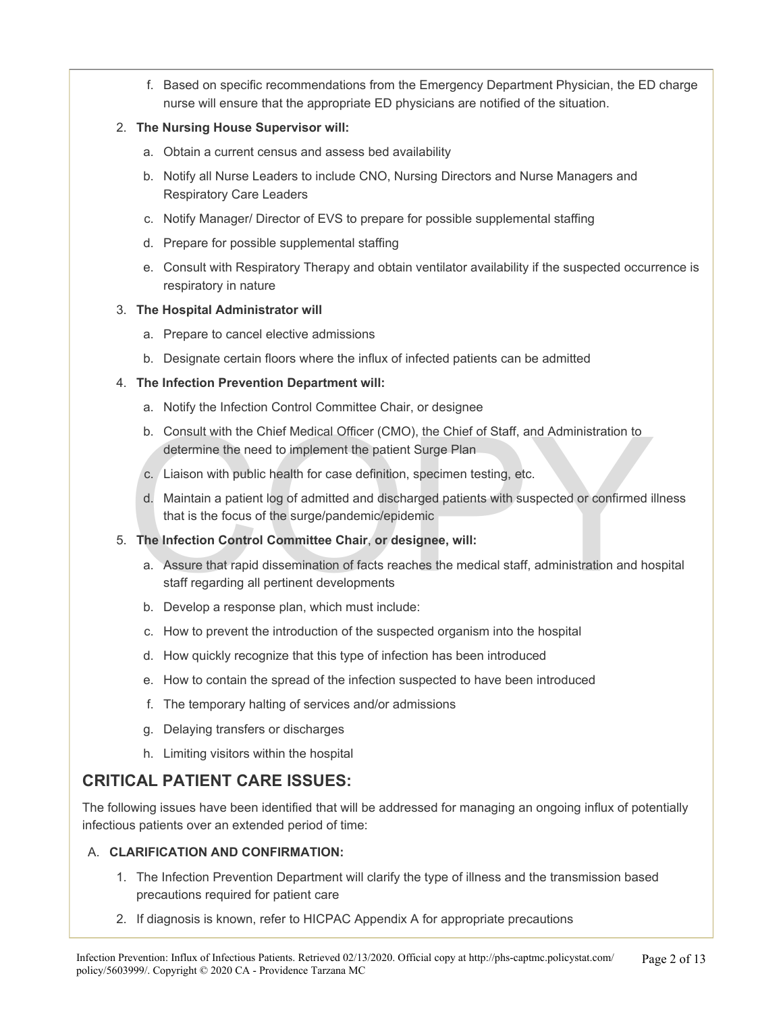f. Based on specific recommendations from the Emergency Department Physician, the ED charge nurse will ensure that the appropriate ED physicians are notified of the situation.

#### 2. **The Nursing House Supervisor will:**

- a. Obtain a current census and assess bed availability
- b. Notify all Nurse Leaders to include CNO, Nursing Directors and Nurse Managers and Respiratory Care Leaders
- c. Notify Manager/ Director of EVS to prepare for possible supplemental staffing
- d. Prepare for possible supplemental staffing
- e. Consult with Respiratory Therapy and obtain ventilator availability if the suspected occurrence is respiratory in nature

#### 3. **The Hospital Administrator will**

- a. Prepare to cancel elective admissions
- b. Designate certain floors where the influx of infected patients can be admitted

#### 4. **The Infection Prevention Department will:**

- a. Notify the Infection Control Committee Chair, or designee
- b. Consult with the Chief Medical Officer (CMO), the Chief of Staff, and Administration to determine the need to implement the patient Surge Plan
- c. Liaison with public health for case definition, specimen testing, etc.
- d. Maintain a patient log of admitted and discharged patients with suspected or confirmed illness that is the focus of the surge/pandemic/epidemic

#### 5. **The Infection Control Committee Chair**, **or designee, will:**

- b. Consult with the Chief Medical Officer (CMO), the Chief of Staff, and Administration to<br>determine the need to implement the patient Surge Plan<br>c. Liaison with public health for case definition, specimen testing, etc.<br>d. a. Assure that rapid dissemination of facts reaches the medical staff, administration and hospital staff regarding all pertinent developments
	- b. Develop a response plan, which must include:
	- c. How to prevent the introduction of the suspected organism into the hospital
	- d. How quickly recognize that this type of infection has been introduced
	- e. How to contain the spread of the infection suspected to have been introduced
	- f. The temporary halting of services and/or admissions
	- g. Delaying transfers or discharges
	- h. Limiting visitors within the hospital

### **CRITICAL PATIENT CARE ISSUES:**

The following issues have been identified that will be addressed for managing an ongoing influx of potentially infectious patients over an extended period of time:

#### A. **CLARIFICATION AND CONFIRMATION:**

- 1. The Infection Prevention Department will clarify the type of illness and the transmission based precautions required for patient care
- 2. If diagnosis is known, refer to HICPAC Appendix A for appropriate precautions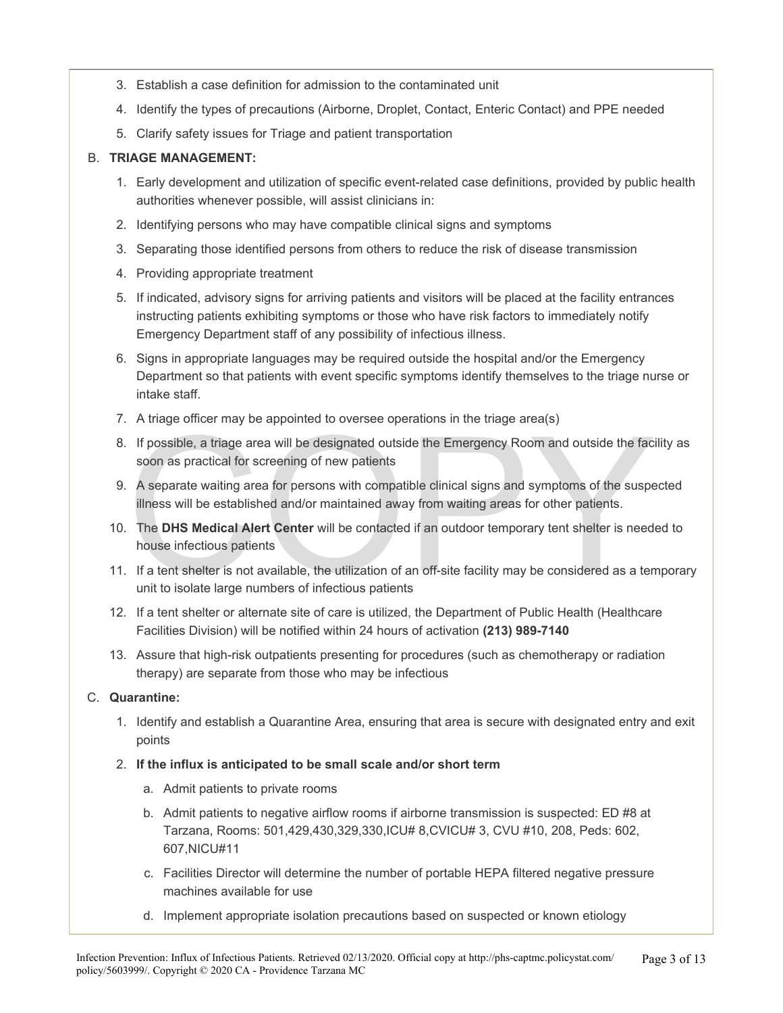- 3. Establish a case definition for admission to the contaminated unit
- 4. Identify the types of precautions (Airborne, Droplet, Contact, Enteric Contact) and PPE needed
- 5. Clarify safety issues for Triage and patient transportation

#### B. **TRIAGE MANAGEMENT:**

- 1. Early development and utilization of specific event-related case definitions, provided by public health authorities whenever possible, will assist clinicians in:
- 2. Identifying persons who may have compatible clinical signs and symptoms
- 3. Separating those identified persons from others to reduce the risk of disease transmission
- 4. Providing appropriate treatment
- 5. If indicated, advisory signs for arriving patients and visitors will be placed at the facility entrances instructing patients exhibiting symptoms or those who have risk factors to immediately notify Emergency Department staff of any possibility of infectious illness.
- 6. Signs in appropriate languages may be required outside the hospital and/or the Emergency Department so that patients with event specific symptoms identify themselves to the triage nurse or intake staff.
- 7. A triage officer may be appointed to oversee operations in the triage area(s)
- 8. If possible, a triage area will be designated outside the Emergency Room and outside the facility as soon as practical for screening of new patients
- A triage office integral of oversee operations in the triage area (s)<br>If possible, a triage area will be designated outside the Emergency Room and outside the factoon as practical for screening of new patients<br>A separate w 9. A separate waiting area for persons with compatible clinical signs and symptoms of the suspected illness will be established and/or maintained away from waiting areas for other patients.
- 10. The **DHS Medical Alert Center** will be contacted if an outdoor temporary tent shelter is needed to house infectious patients
- 11. If a tent shelter is not available, the utilization of an off-site facility may be considered as a temporary unit to isolate large numbers of infectious patients
- 12. If a tent shelter or alternate site of care is utilized, the Department of Public Health (Healthcare Facilities Division) will be notified within 24 hours of activation **(213) 989-7140**
- 13. Assure that high-risk outpatients presenting for procedures (such as chemotherapy or radiation therapy) are separate from those who may be infectious

#### C. **Quarantine:**

- 1. Identify and establish a Quarantine Area, ensuring that area is secure with designated entry and exit points
- 2. **If the influx is anticipated to be small scale and/or short term** 
	- a. Admit patients to private rooms
	- b. Admit patients to negative airflow rooms if airborne transmission is suspected: ED #8 at Tarzana, Rooms: 501,429,430,329,330,ICU# 8,CVICU# 3, CVU #10, 208, Peds: 602, 607,NICU#11
	- c. Facilities Director will determine the number of portable HEPA filtered negative pressure machines available for use
	- d. Implement appropriate isolation precautions based on suspected or known etiology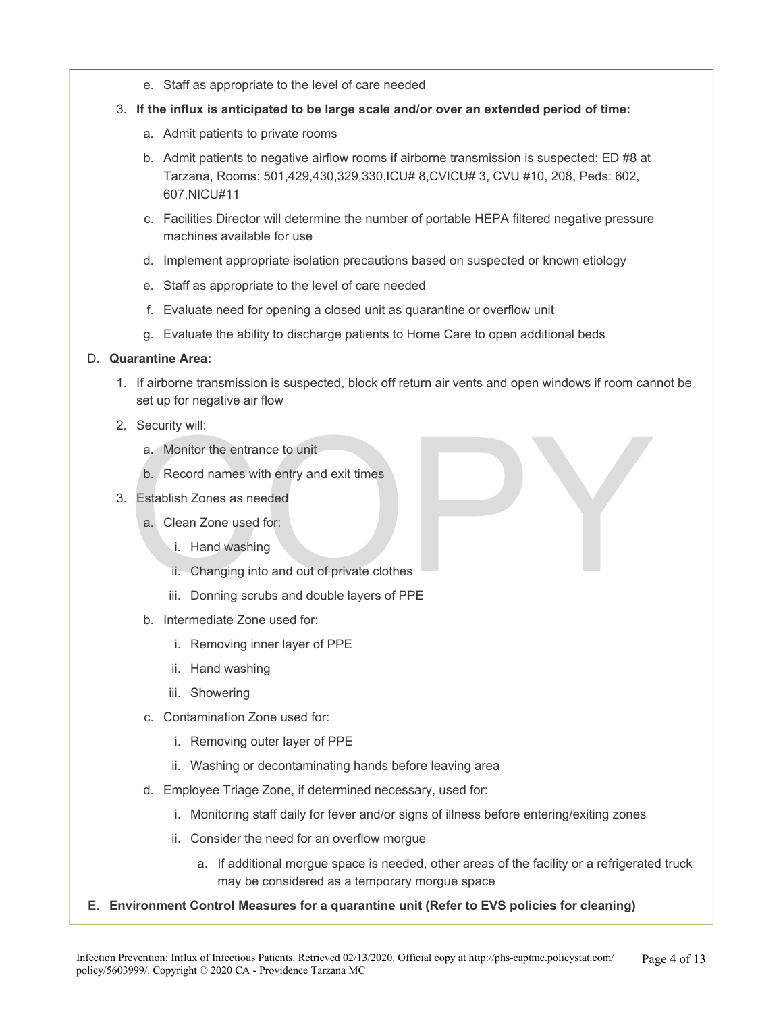- e. Staff as appropriate to the level of care needed
- 3. **If the influx is anticipated to be large scale and/or over an extended period of time:** 
	- a. Admit patients to private rooms
	- b. Admit patients to negative airflow rooms if airborne transmission is suspected: ED #8 at Tarzana, Rooms: 501,429,430,329,330,ICU# 8,CVICU# 3, CVU #10, 208, Peds: 602, 607,NICU#11
	- c. Facilities Director will determine the number of portable HEPA filtered negative pressure machines available for use
	- d. Implement appropriate isolation precautions based on suspected or known etiology
	- e. Staff as appropriate to the level of care needed
	- f. Evaluate need for opening a closed unit as quarantine or overflow unit
	- g. Evaluate the ability to discharge patients to Home Care to open additional beds

#### D. **Quarantine Area:**

- 1. If airborne transmission is suspected, block off return air vents and open windows if room cannot be set up for negative air flow
- 2. Security will:
	- a. Monitor the entrance to unit
	- b. Record names with entry and exit times
- 3. Establish Zones as needed
	- a. Clean Zone used for:
		- i. Hand washing
		- ii. Changing into and out of private clothes
- Security will:<br>
a. Monitor the entrance to unit<br>
b. Record names with entry and exit times<br>
Establish Zones as needed<br>
a. Clean Zone used for:<br>
i. Hand washing<br>
ii. Changing into and out of private clothes<br>
iii. Donning sc iii. Donning scrubs and double layers of PPE
	- b. Intermediate Zone used for:
		- i. Removing inner layer of PPE
		- ii. Hand washing
		- iii. Showering
	- c. Contamination Zone used for:
		- i. Removing outer layer of PPE
		- ii. Washing or decontaminating hands before leaving area
	- d. Employee Triage Zone, if determined necessary, used for:
		- i. Monitoring staff daily for fever and/or signs of illness before entering/exiting zones
		- ii. Consider the need for an overflow morgue
			- a. If additional morgue space is needed, other areas of the facility or a refrigerated truck may be considered as a temporary morgue space
- E. **Environment Control Measures for a quarantine unit (Refer to EVS policies for cleaning)**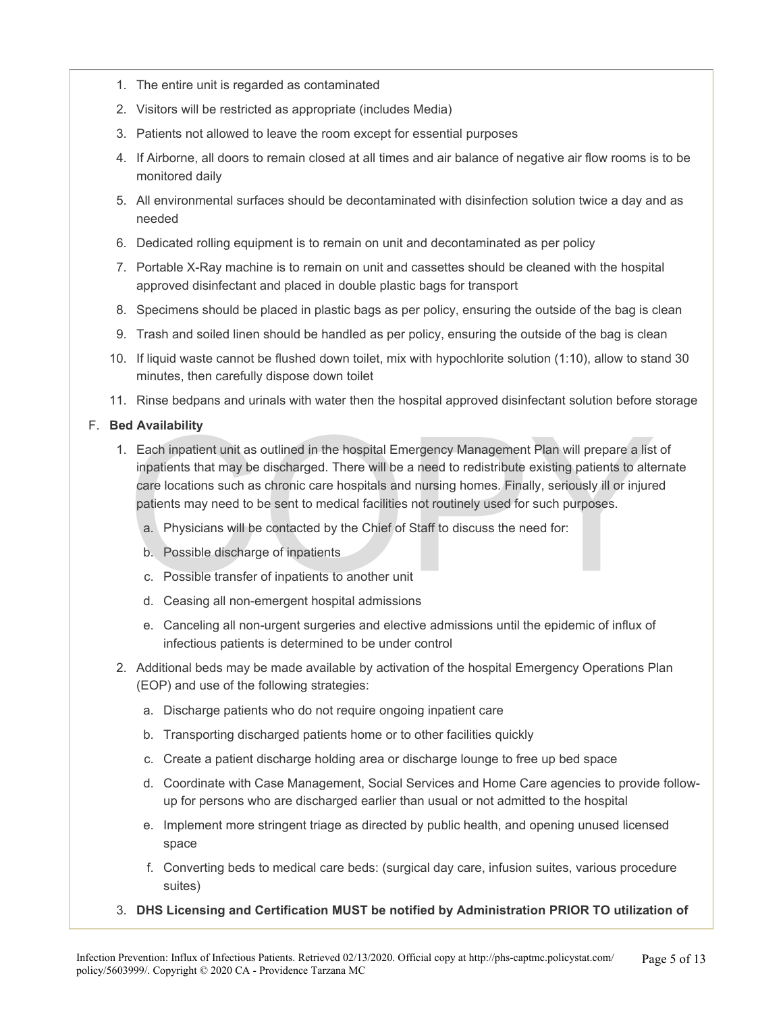- 1. The entire unit is regarded as contaminated
- 2. Visitors will be restricted as appropriate (includes Media)
- 3. Patients not allowed to leave the room except for essential purposes
- 4. If Airborne, all doors to remain closed at all times and air balance of negative air flow rooms is to be monitored daily
- 5. All environmental surfaces should be decontaminated with disinfection solution twice a day and as needed
- 6. Dedicated rolling equipment is to remain on unit and decontaminated as per policy
- 7. Portable X-Ray machine is to remain on unit and cassettes should be cleaned with the hospital approved disinfectant and placed in double plastic bags for transport
- 8. Specimens should be placed in plastic bags as per policy, ensuring the outside of the bag is clean
- 9. Trash and soiled linen should be handled as per policy, ensuring the outside of the bag is clean
- 10. If liquid waste cannot be flushed down toilet, mix with hypochlorite solution (1:10), allow to stand 30 minutes, then carefully dispose down toilet
- 11. Rinse bedpans and urinals with water then the hospital approved disinfectant solution before storage

#### F. **Bed Availability**

- d Availability<br>
Each inpatient unit as outlined in the hospital Emergency Management Plan will prepare a list<br>
inpatients that may be discharged. There will be a need to redistribute existing patients to alte<br>
care locatio 1. Each inpatient unit as outlined in the hospital Emergency Management Plan will prepare a list of inpatients that may be discharged. There will be a need to redistribute existing patients to alternate care locations such as chronic care hospitals and nursing homes. Finally, seriously ill or injured patients may need to be sent to medical facilities not routinely used for such purposes.
	- a. Physicians will be contacted by the Chief of Staff to discuss the need for:
	- b. Possible discharge of inpatients
	- c. Possible transfer of inpatients to another unit
	- d. Ceasing all non-emergent hospital admissions
	- e. Canceling all non-urgent surgeries and elective admissions until the epidemic of influx of infectious patients is determined to be under control
- 2. Additional beds may be made available by activation of the hospital Emergency Operations Plan (EOP) and use of the following strategies:
	- a. Discharge patients who do not require ongoing inpatient care
	- b. Transporting discharged patients home or to other facilities quickly
	- c. Create a patient discharge holding area or discharge lounge to free up bed space
	- d. Coordinate with Case Management, Social Services and Home Care agencies to provide followup for persons who are discharged earlier than usual or not admitted to the hospital
	- e. Implement more stringent triage as directed by public health, and opening unused licensed space
	- f. Converting beds to medical care beds: (surgical day care, infusion suites, various procedure suites)
- 3. **DHS Licensing and Certification MUST be notified by Administration PRIOR TO utilization of**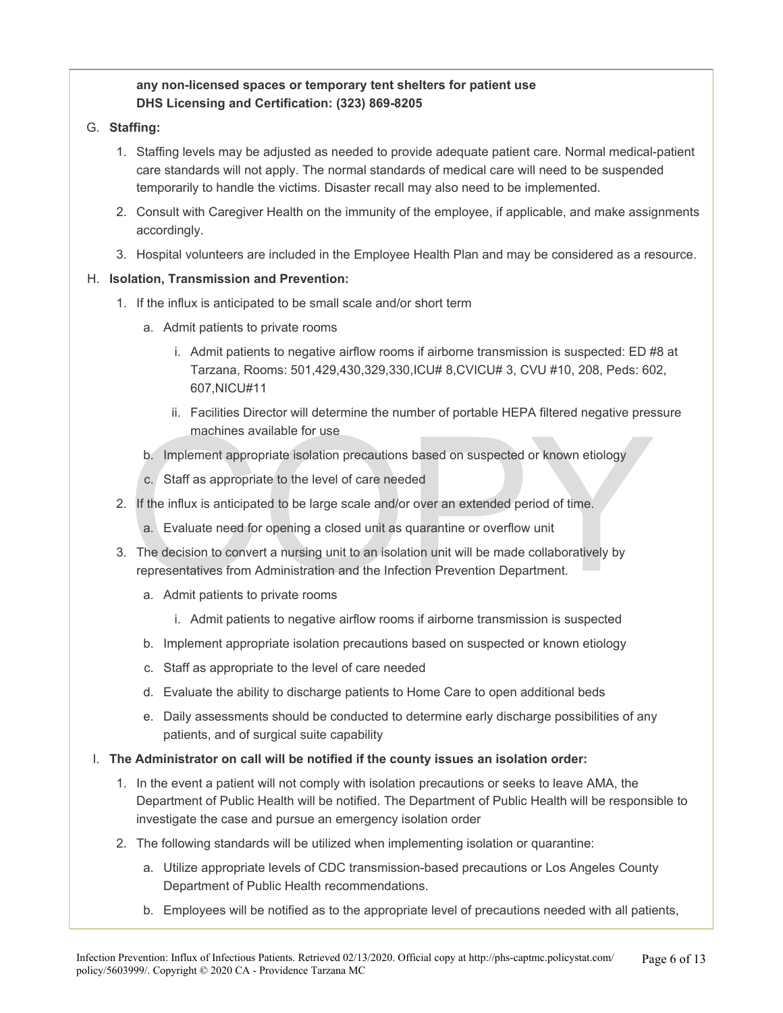#### **any non-licensed spaces or temporary tent shelters for patient use DHS Licensing and Certification: (323) 869-8205**

- G. **Staffing:** 
	- 1. Staffing levels may be adjusted as needed to provide adequate patient care. Normal medical-patient care standards will not apply. The normal standards of medical care will need to be suspended temporarily to handle the victims. Disaster recall may also need to be implemented.
	- 2. Consult with Caregiver Health on the immunity of the employee, if applicable, and make assignments accordingly.
	- 3. Hospital volunteers are included in the Employee Health Plan and may be considered as a resource.

#### H. **Isolation, Transmission and Prevention:**

- 1. If the influx is anticipated to be small scale and/or short term
	- a. Admit patients to private rooms
		- i. Admit patients to negative airflow rooms if airborne transmission is suspected: ED #8 at Tarzana, Rooms: 501,429,430,329,330,ICU# 8,CVICU# 3, CVU #10, 208, Peds: 602, 607,NICU#11
		- ii. Facilities Director will determine the number of portable HEPA filtered negative pressure machines available for use
	- b. Implement appropriate isolation precautions based on suspected or known etiology
	- c. Staff as appropriate to the level of care needed
- 2. If the influx is anticipated to be large scale and/or over an extended period of time.
	- a. Evaluate need for opening a closed unit as quarantine or overflow unit
- machines available for use<br>
b. Implement appropriate isolation precautions based on suspected or known etiology<br>
c. Staff as appropriate to the level of care needed<br>
If the influx is anticipated to be large scale and/or ov 3. The decision to convert a nursing unit to an isolation unit will be made collaboratively by representatives from Administration and the Infection Prevention Department.
	- a. Admit patients to private rooms
		- i. Admit patients to negative airflow rooms if airborne transmission is suspected
	- b. Implement appropriate isolation precautions based on suspected or known etiology
	- c. Staff as appropriate to the level of care needed
	- d. Evaluate the ability to discharge patients to Home Care to open additional beds
	- e. Daily assessments should be conducted to determine early discharge possibilities of any patients, and of surgical suite capability
- I. **The Administrator on call will be notified if the county issues an isolation order:** 
	- 1. In the event a patient will not comply with isolation precautions or seeks to leave AMA, the Department of Public Health will be notified. The Department of Public Health will be responsible to investigate the case and pursue an emergency isolation order
	- 2. The following standards will be utilized when implementing isolation or quarantine:
		- a. Utilize appropriate levels of CDC transmission-based precautions or Los Angeles County Department of Public Health recommendations.
		- b. Employees will be notified as to the appropriate level of precautions needed with all patients,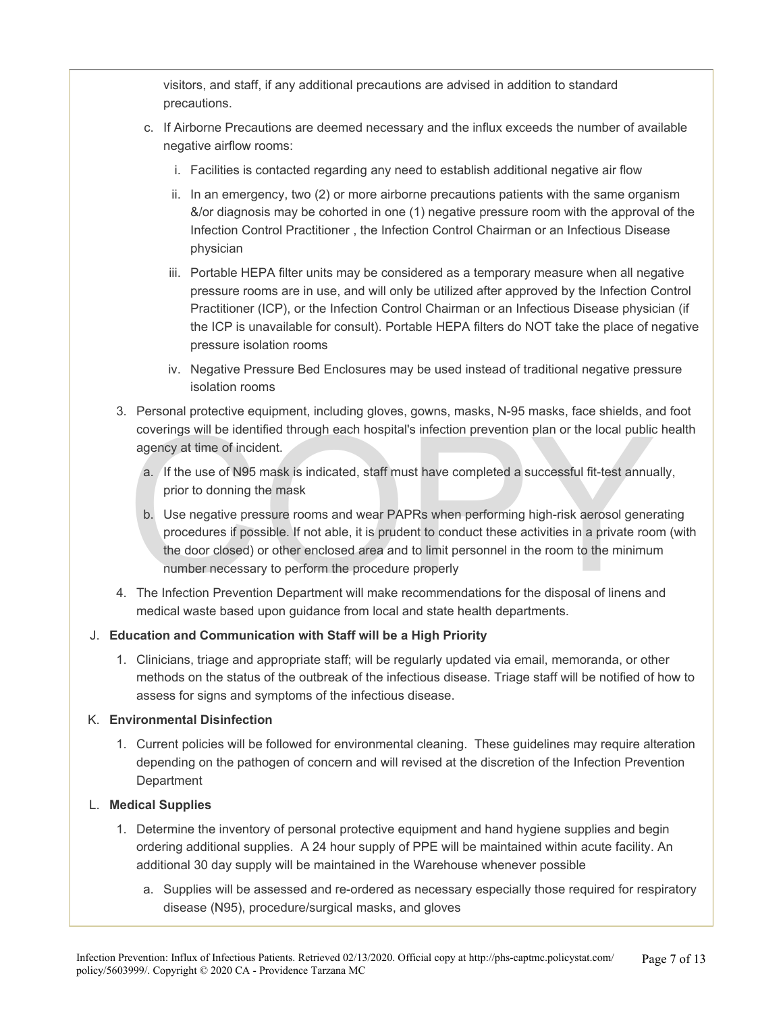visitors, and staff, if any additional precautions are advised in addition to standard precautions.

- c. If Airborne Precautions are deemed necessary and the influx exceeds the number of available negative airflow rooms:
	- i. Facilities is contacted regarding any need to establish additional negative air flow
	- ii. In an emergency, two (2) or more airborne precautions patients with the same organism &/or diagnosis may be cohorted in one (1) negative pressure room with the approval of the Infection Control Practitioner , the Infection Control Chairman or an Infectious Disease physician
	- iii. Portable HEPA filter units may be considered as a temporary measure when all negative pressure rooms are in use, and will only be utilized after approved by the Infection Control Practitioner (ICP), or the Infection Control Chairman or an Infectious Disease physician (if the ICP is unavailable for consult). Portable HEPA filters do NOT take the place of negative pressure isolation rooms
	- iv. Negative Pressure Bed Enclosures may be used instead of traditional negative pressure isolation rooms
- 3. Personal protective equipment, including gloves, gowns, masks, N-95 masks, face shields, and foot coverings will be identified through each hospital's infection prevention plan or the local public health agency at time of incident.
	- a. If the use of N95 mask is indicated, staff must have completed a successful fit-test annually, prior to donning the mask
	- coverings will be identified through each hospital's infection prevention plan or the local public<br>agency at time of incident.<br> **a.** If the use of N95 mask is indicated, staff must have completed a successful fit-test annu b. Use negative pressure rooms and wear PAPRs when performing high-risk aerosol generating procedures if possible. If not able, it is prudent to conduct these activities in a private room (with the door closed) or other enclosed area and to limit personnel in the room to the minimum number necessary to perform the procedure properly
- 4. The Infection Prevention Department will make recommendations for the disposal of linens and medical waste based upon guidance from local and state health departments.

#### J. **Education and Communication with Staff will be a High Priority**

1. Clinicians, triage and appropriate staff; will be regularly updated via email, memoranda, or other methods on the status of the outbreak of the infectious disease. Triage staff will be notified of how to assess for signs and symptoms of the infectious disease.

#### K. **Environmental Disinfection**

1. Current policies will be followed for environmental cleaning. These guidelines may require alteration depending on the pathogen of concern and will revised at the discretion of the Infection Prevention **Department** 

#### L. **Medical Supplies**

- 1. Determine the inventory of personal protective equipment and hand hygiene supplies and begin ordering additional supplies. A 24 hour supply of PPE will be maintained within acute facility. An additional 30 day supply will be maintained in the Warehouse whenever possible
	- a. Supplies will be assessed and re-ordered as necessary especially those required for respiratory disease (N95), procedure/surgical masks, and gloves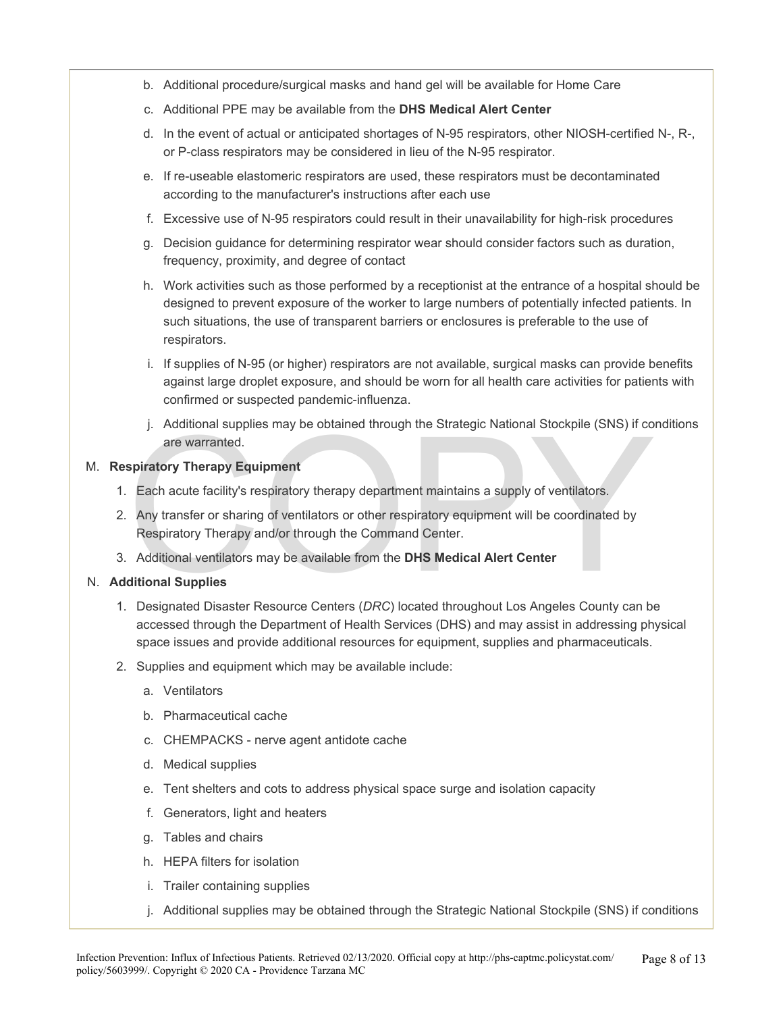- b. Additional procedure/surgical masks and hand gel will be available for Home Care
- c. Additional PPE may be available from the **DHS Medical Alert Center**
- d. In the event of actual or anticipated shortages of N-95 respirators, other NIOSH-certified N-, R-, or P-class respirators may be considered in lieu of the N-95 respirator.
- e. If re-useable elastomeric respirators are used, these respirators must be decontaminated according to the manufacturer's instructions after each use
- f. Excessive use of N-95 respirators could result in their unavailability for high-risk procedures
- g. Decision guidance for determining respirator wear should consider factors such as duration, frequency, proximity, and degree of contact
- h. Work activities such as those performed by a receptionist at the entrance of a hospital should be designed to prevent exposure of the worker to large numbers of potentially infected patients. In such situations, the use of transparent barriers or enclosures is preferable to the use of respirators.
- i. If supplies of N-95 (or higher) respirators are not available, surgical masks can provide benefits against large droplet exposure, and should be worn for all health care activities for patients with confirmed or suspected pandemic-influenza.
- j. Additional supplies may be obtained through the Strategic National Stockpile (SNS) if conditions are warranted.

#### M. **Respiratory Therapy Equipment**

- 1. Each acute facility's respiratory therapy department maintains a supply of ventilators.
- j. Additional supplies may be obtained through the Strategic National Stockpile (SNS) if co<br>are warranted.<br> **spiratory Therapy Equipment**<br>
Each acute facility's respiratory therapy department maintains a supply of ventilat 2. Any transfer or sharing of ventilators or other respiratory equipment will be coordinated by Respiratory Therapy and/or through the Command Center.
- 3. Additional ventilators may be available from the **DHS Medical Alert Center**

#### N. **Additional Supplies**

- 1. Designated Disaster Resource Centers (*DRC*) located throughout Los Angeles County can be accessed through the Department of Health Services (DHS) and may assist in addressing physical space issues and provide additional resources for equipment, supplies and pharmaceuticals.
- 2. Supplies and equipment which may be available include:
	- a. Ventilators
	- b. Pharmaceutical cache
	- c. CHEMPACKS nerve agent antidote cache
	- d. Medical supplies
	- e. Tent shelters and cots to address physical space surge and isolation capacity
	- f. Generators, light and heaters
	- g. Tables and chairs
	- h. HEPA filters for isolation
	- i. Trailer containing supplies
	- j. Additional supplies may be obtained through the Strategic National Stockpile (SNS) if conditions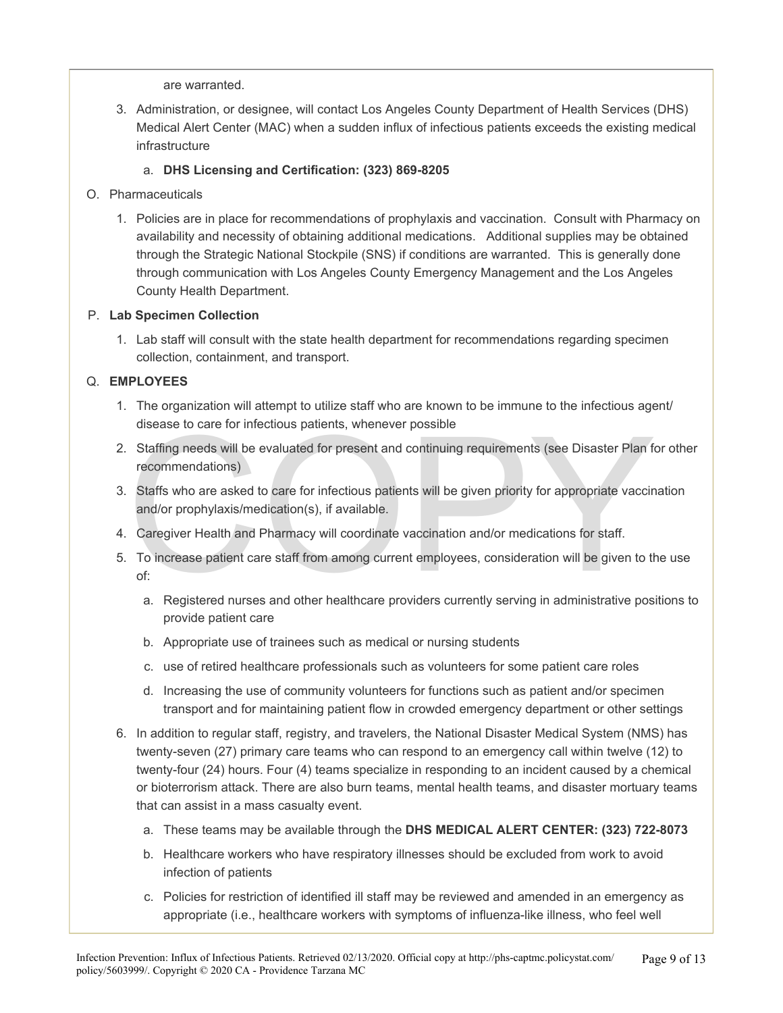are warranted.

3. Administration, or designee, will contact Los Angeles County Department of Health Services (DHS) Medical Alert Center (MAC) when a sudden influx of infectious patients exceeds the existing medical infrastructure

#### a. **DHS Licensing and Certification: (323) 869-8205**

- O. Pharmaceuticals
	- 1. Policies are in place for recommendations of prophylaxis and vaccination. Consult with Pharmacy on availability and necessity of obtaining additional medications. Additional supplies may be obtained through the Strategic National Stockpile (SNS) if conditions are warranted. This is generally done through communication with Los Angeles County Emergency Management and the Los Angeles County Health Department.

#### P. **Lab Specimen Collection**

1. Lab staff will consult with the state health department for recommendations regarding specimen collection, containment, and transport.

#### Q. **EMPLOYEES**

- 1. The organization will attempt to utilize staff who are known to be immune to the infectious agent/ disease to care for infectious patients, whenever possible
- 2. Staffing needs will be evaluated for present and continuing requirements (see Disaster Plan for other recommendations)
- disease to care for infectious patients, whenever possible<br>Staffing needs will be evaluated for present and continuing requirements (see Disaster Plan frecommendations)<br>Staffs who are asked to care for infectious patients 3. Staffs who are asked to care for infectious patients will be given priority for appropriate vaccination and/or prophylaxis/medication(s), if available.
- 4. Caregiver Health and Pharmacy will coordinate vaccination and/or medications for staff.
- 5. To increase patient care staff from among current employees, consideration will be given to the use of:
	- a. Registered nurses and other healthcare providers currently serving in administrative positions to provide patient care
	- b. Appropriate use of trainees such as medical or nursing students
	- c. use of retired healthcare professionals such as volunteers for some patient care roles
	- d. Increasing the use of community volunteers for functions such as patient and/or specimen transport and for maintaining patient flow in crowded emergency department or other settings
- 6. In addition to regular staff, registry, and travelers, the National Disaster Medical System (NMS) has twenty-seven (27) primary care teams who can respond to an emergency call within twelve (12) to twenty-four (24) hours. Four (4) teams specialize in responding to an incident caused by a chemical or bioterrorism attack. There are also burn teams, mental health teams, and disaster mortuary teams that can assist in a mass casualty event.
	- a. These teams may be available through the **DHS MEDICAL ALERT CENTER: (323) 722-8073**
	- b. Healthcare workers who have respiratory illnesses should be excluded from work to avoid infection of patients
	- c. Policies for restriction of identified ill staff may be reviewed and amended in an emergency as appropriate (i.e., healthcare workers with symptoms of influenza-like illness, who feel well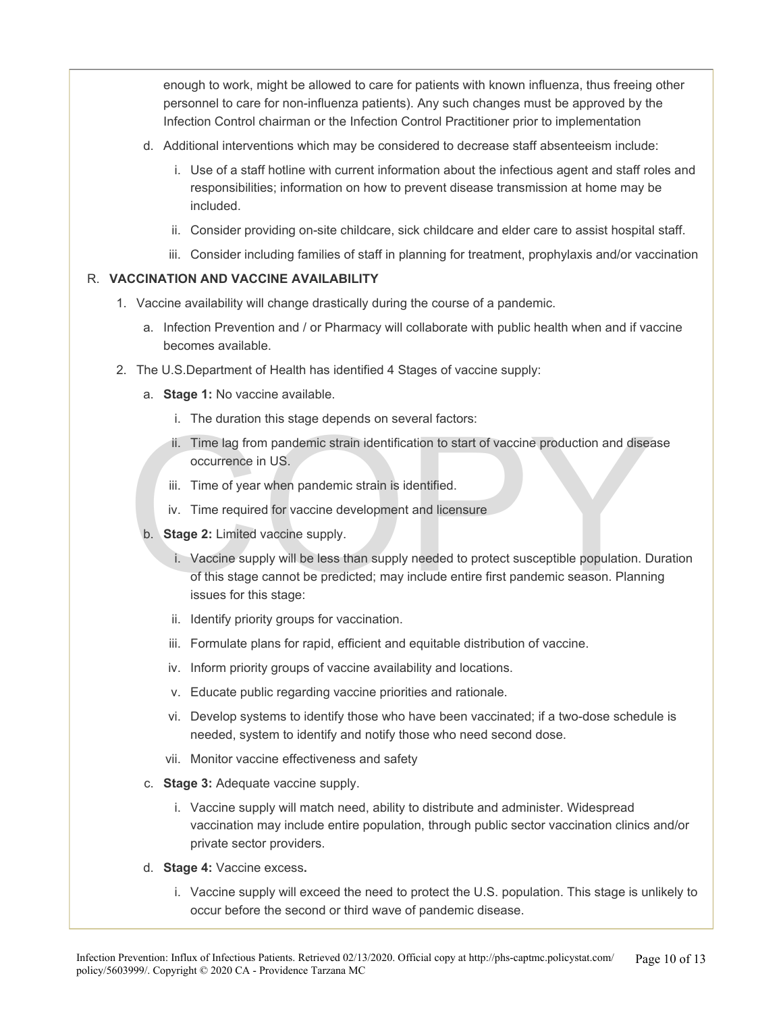enough to work, might be allowed to care for patients with known influenza, thus freeing other personnel to care for non-influenza patients). Any such changes must be approved by the Infection Control chairman or the Infection Control Practitioner prior to implementation

- d. Additional interventions which may be considered to decrease staff absenteeism include:
	- i. Use of a staff hotline with current information about the infectious agent and staff roles and responsibilities; information on how to prevent disease transmission at home may be included.
	- ii. Consider providing on-site childcare, sick childcare and elder care to assist hospital staff.
	- iii. Consider including families of staff in planning for treatment, prophylaxis and/or vaccination

#### R. **VACCINATION AND VACCINE AVAILABILITY**

- 1. Vaccine availability will change drastically during the course of a pandemic.
	- a. Infection Prevention and / or Pharmacy will collaborate with public health when and if vaccine becomes available.
- 2. The U.S.Department of Health has identified 4 Stages of vaccine supply:
	- a. **Stage 1:** No vaccine available.
		- i. The duration this stage depends on several factors:
		- ii. Time lag from pandemic strain identification to start of vaccine production and disease occurrence in US.
		- iii. Time of year when pandemic strain is identified.
		- iv. Time required for vaccine development and licensure
	- b. **Stage 2:** Limited vaccine supply.
	- i. Time lag from pandemic strain identification to start of vaccine production and diseant contents in US.<br>
	III. Time of year when pandemic strain is identified.<br>
	IV. Time of year when pandemic strain is identified.<br>
	IV. T i. Vaccine supply will be less than supply needed to protect susceptible population. Duration of this stage cannot be predicted; may include entire first pandemic season. Planning issues for this stage:
		- ii. Identify priority groups for vaccination.
		- iii. Formulate plans for rapid, efficient and equitable distribution of vaccine.
		- iv. Inform priority groups of vaccine availability and locations.
		- v. Educate public regarding vaccine priorities and rationale.
		- vi. Develop systems to identify those who have been vaccinated; if a two-dose schedule is needed, system to identify and notify those who need second dose.
		- vii. Monitor vaccine effectiveness and safety
		- c. **Stage 3:** Adequate vaccine supply.
			- i. Vaccine supply will match need, ability to distribute and administer. Widespread vaccination may include entire population, through public sector vaccination clinics and/or private sector providers.
		- d. **Stage 4:** Vaccine excess**.** 
			- i. Vaccine supply will exceed the need to protect the U.S. population. This stage is unlikely to occur before the second or third wave of pandemic disease.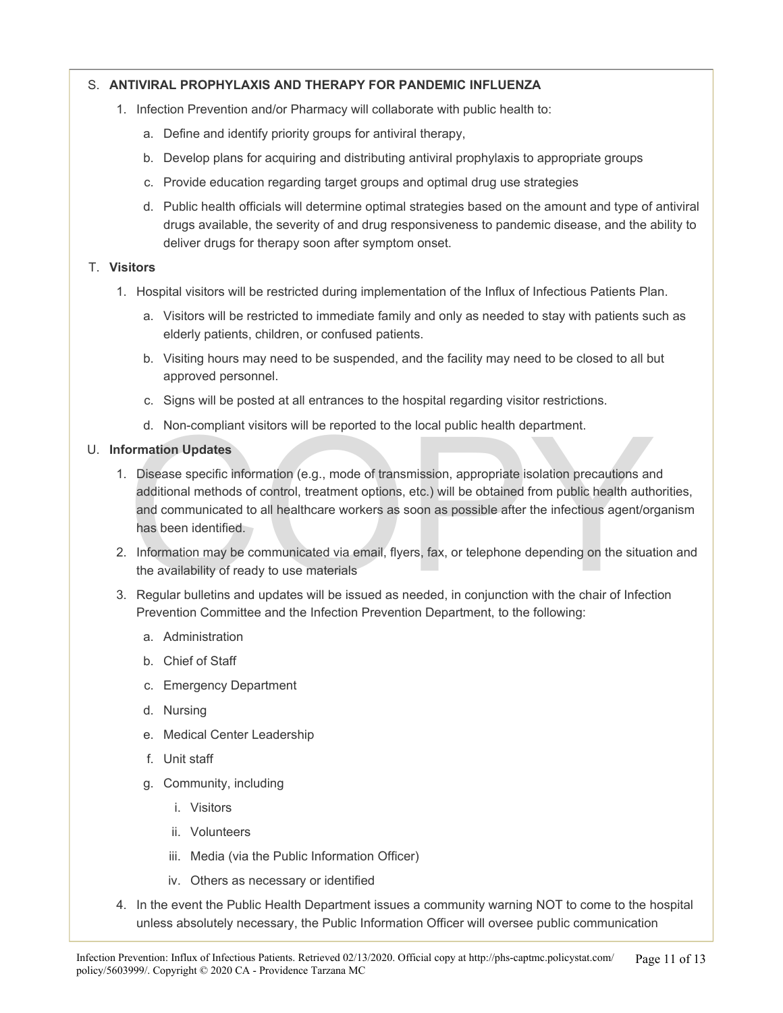#### S. **ANTIVIRAL PROPHYLAXIS AND THERAPY FOR PANDEMIC INFLUENZA**

- 1. Infection Prevention and/or Pharmacy will collaborate with public health to:
	- a. Define and identify priority groups for antiviral therapy,
	- b. Develop plans for acquiring and distributing antiviral prophylaxis to appropriate groups
	- c. Provide education regarding target groups and optimal drug use strategies
	- d. Public health officials will determine optimal strategies based on the amount and type of antiviral drugs available, the severity of and drug responsiveness to pandemic disease, and the ability to deliver drugs for therapy soon after symptom onset.

#### T. **Visitors**

- 1. Hospital visitors will be restricted during implementation of the Influx of Infectious Patients Plan.
	- a. Visitors will be restricted to immediate family and only as needed to stay with patients such as elderly patients, children, or confused patients.
	- b. Visiting hours may need to be suspended, and the facility may need to be closed to all but approved personnel.
	- c. Signs will be posted at all entrances to the hospital regarding visitor restrictions.
	- d. Non-compliant visitors will be reported to the local public health department.

#### U. **Information Updates**

- d. Non-compliant visitors will be reported to the local public health department.<br> **ormation Updates**<br>
Disease specific information (e.g., mode of transmission, appropriate isolation precautions an<br>
additional methods of c 1. Disease specific information (e.g., mode of transmission, appropriate isolation precautions and additional methods of control, treatment options, etc.) will be obtained from public health authorities, and communicated to all healthcare workers as soon as possible after the infectious agent/organism has been identified.
- 2. Information may be communicated via email, flyers, fax, or telephone depending on the situation and the availability of ready to use materials
- 3. Regular bulletins and updates will be issued as needed, in conjunction with the chair of Infection Prevention Committee and the Infection Prevention Department, to the following:
	- a. Administration
	- b. Chief of Staff
	- c. Emergency Department
	- d. Nursing
	- e. Medical Center Leadership
	- f. Unit staff
	- g. Community, including
		- i. Visitors
		- ii. Volunteers
		- iii. Media (via the Public Information Officer)
		- iv. Others as necessary or identified
- 4. In the event the Public Health Department issues a community warning NOT to come to the hospital unless absolutely necessary, the Public Information Officer will oversee public communication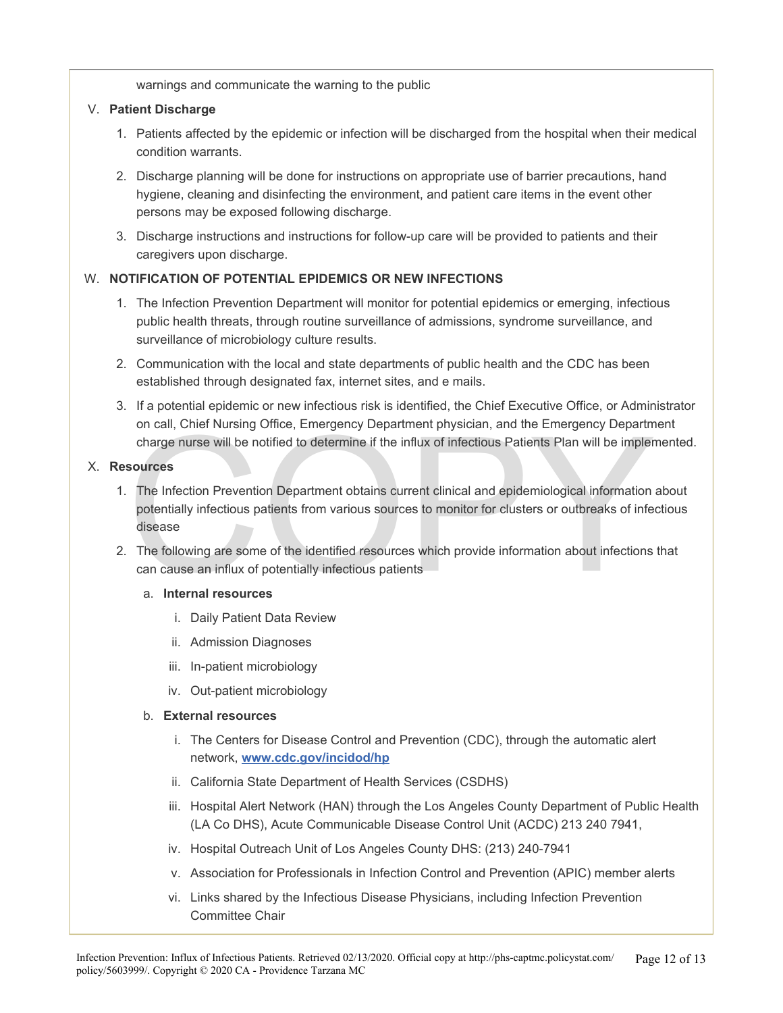warnings and communicate the warning to the public

#### V. **Patient Discharge**

- 1. Patients affected by the epidemic or infection will be discharged from the hospital when their medical condition warrants.
- 2. Discharge planning will be done for instructions on appropriate use of barrier precautions, hand hygiene, cleaning and disinfecting the environment, and patient care items in the event other persons may be exposed following discharge.
- 3. Discharge instructions and instructions for follow-up care will be provided to patients and their caregivers upon discharge.

#### W. **NOTIFICATION OF POTENTIAL EPIDEMICS OR NEW INFECTIONS**

- 1. The Infection Prevention Department will monitor for potential epidemics or emerging, infectious public health threats, through routine surveillance of admissions, syndrome surveillance, and surveillance of microbiology culture results.
- 2. Communication with the local and state departments of public health and the CDC has been established through designated fax, internet sites, and e mails.
- 3. If a potential epidemic or new infectious risk is identified, the Chief Executive Office, or Administrator on call, Chief Nursing Office, Emergency Department physician, and the Emergency Department charge nurse will be notified to determine if the influx of infectious Patients Plan will be implemented.

#### X. **Resources**

- on call, Chief Nursing Office, Emergency Department physician, and the Emergency Department<br>charge nurse will be notified to determine if the influx of infectious Patients Plan will be impler<br>sources<br>The Infection Preventi 1. The Infection Prevention Department obtains current clinical and epidemiological information about potentially infectious patients from various sources to monitor for clusters or outbreaks of infectious disease
- 2. The following are some of the identified resources which provide information about infections that can cause an influx of potentially infectious patients

#### a. **Internal resources**

- i. Daily Patient Data Review
- ii. Admission Diagnoses
- iii. In-patient microbiology
- iv. Out-patient microbiology

#### b. **External resources**

- i. The Centers for Disease Control and Prevention (CDC), through the automatic alert network, **[www.cdc.gov/incidod/hp](http://www.cdc.gov/incidod/hp)**
- ii. California State Department of Health Services (CSDHS)
- iii. Hospital Alert Network (HAN) through the Los Angeles County Department of Public Health (LA Co DHS), Acute Communicable Disease Control Unit (ACDC) 213 240 7941,
- iv. Hospital Outreach Unit of Los Angeles County DHS: (213) 240-7941
- v. Association for Professionals in Infection Control and Prevention (APIC) member alerts
- vi. Links shared by the Infectious Disease Physicians, including Infection Prevention Committee Chair